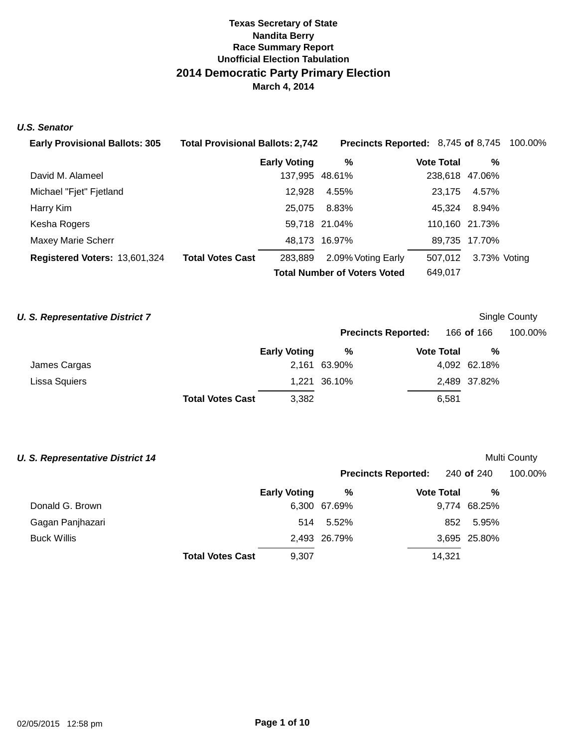### **U.S. Senator**

| <b>Early Provisional Ballots: 305</b> | <b>Total Provisional Ballots: 2,742</b> |                     | <b>Precincts Reported: 8,745 of 8,745 100.00%</b> |                   |                |  |
|---------------------------------------|-----------------------------------------|---------------------|---------------------------------------------------|-------------------|----------------|--|
|                                       |                                         | <b>Early Voting</b> | %                                                 | <b>Vote Total</b> | %              |  |
| David M. Alameel                      |                                         | 137,995 48.61%      |                                                   |                   | 238,618 47.06% |  |
| Michael "Fjet" Fjetland               |                                         | 12.928              | 4.55%                                             | 23.175            | 4.57%          |  |
| Harry Kim                             |                                         | 25,075              | 8.83%                                             | 45.324            | 8.94%          |  |
| Kesha Rogers                          |                                         |                     | 59,718 21.04%                                     |                   | 110,160 21.73% |  |
| <b>Maxey Marie Scherr</b>             |                                         |                     | 48,173 16.97%                                     |                   | 89,735 17.70%  |  |
| Registered Voters: 13,601,324         | <b>Total Votes Cast</b>                 | 283.889             | 2.09% Voting Early                                | 507.012           | 3.73% Voting   |  |
|                                       |                                         |                     | <b>Total Number of Voters Voted</b>               | 649,017           |                |  |

## **U. S. Representative District 7 U. S. Representative District 7 Single County**

|               |                         |                     | <b>Precincts Reported:</b> |                   | 166 <b>of</b> 166 | 100.00% |  |
|---------------|-------------------------|---------------------|----------------------------|-------------------|-------------------|---------|--|
|               |                         | <b>Early Voting</b> | %                          | <b>Vote Total</b> | %                 |         |  |
| James Cargas  |                         |                     | 2,161 63.90%               |                   | 4,092 62.18%      |         |  |
| Lissa Squiers |                         |                     | 1,221 36.10%               |                   | 2,489 37.82%      |         |  |
|               | <b>Total Votes Cast</b> | 3,382               |                            | 6,581             |                   |         |  |

| <b>U. S. Representative District 14</b> |                         |                     |              |                            |        |              | <b>Multi County</b> |
|-----------------------------------------|-------------------------|---------------------|--------------|----------------------------|--------|--------------|---------------------|
|                                         |                         |                     |              | <b>Precincts Reported:</b> |        | 240 of 240   | 100.00%             |
|                                         |                         | <b>Early Voting</b> | %            | <b>Vote Total</b>          |        | %            |                     |
| Donald G. Brown                         |                         |                     | 6,300 67.69% |                            |        | 9,774 68.25% |                     |
| Gagan Panjhazari                        |                         | 514                 | 5.52%        |                            | 852    | 5.95%        |                     |
| <b>Buck Willis</b>                      |                         |                     | 2,493 26.79% |                            |        | 3,695 25.80% |                     |
|                                         | <b>Total Votes Cast</b> | 9,307               |              |                            | 14.321 |              |                     |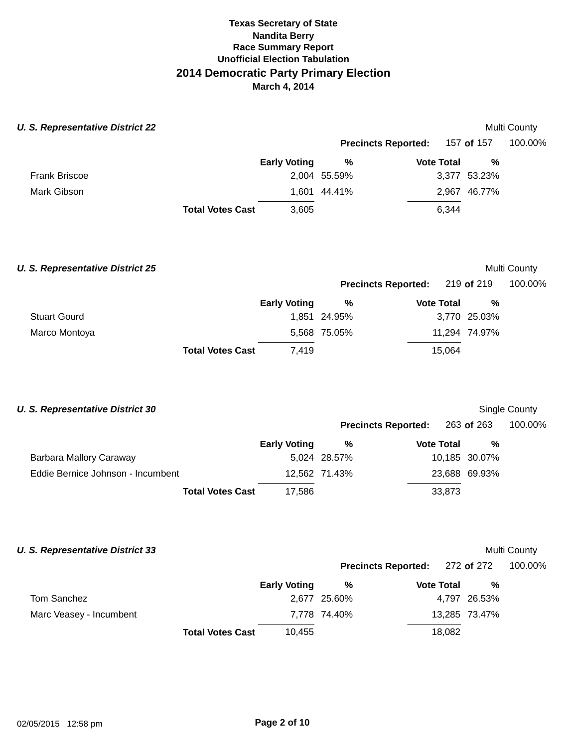| <b>U. S. Representative District 22</b> |                         |                     |              |                            |              | Multi County |  |
|-----------------------------------------|-------------------------|---------------------|--------------|----------------------------|--------------|--------------|--|
|                                         |                         |                     |              | <b>Precincts Reported:</b> | 157 of 157   | 100.00%      |  |
|                                         |                         | <b>Early Voting</b> | %            | <b>Vote Total</b>          |              | %            |  |
| <b>Frank Briscoe</b>                    |                         |                     | 2,004 55.59% |                            | 3,377 53.23% |              |  |
| Mark Gibson                             |                         |                     | 1,601 44.41% |                            | 2,967 46.77% |              |  |
|                                         | <b>Total Votes Cast</b> | 3,605               |              | 6,344                      |              |              |  |
| <b>U. S. Representative District 25</b> |                         |                     |              |                            |              | Multi County |  |

|                     |                         |                     | <b>Precincts Reported:</b> 219 of 219 |                   |               | 100.00% |  |
|---------------------|-------------------------|---------------------|---------------------------------------|-------------------|---------------|---------|--|
|                     |                         | <b>Early Voting</b> | %                                     | <b>Vote Total</b> | %             |         |  |
| <b>Stuart Gourd</b> |                         |                     | 1,851 24.95%                          |                   | 3,770 25.03%  |         |  |
| Marco Montoya       |                         |                     | 5,568 75.05%                          |                   | 11,294 74.97% |         |  |
|                     | <b>Total Votes Cast</b> | 7.419               |                                       | 15.064            |               |         |  |

| <b>U. S. Representative District 30</b> |                         |                     |               |                            |            |               | Single County |
|-----------------------------------------|-------------------------|---------------------|---------------|----------------------------|------------|---------------|---------------|
|                                         |                         |                     |               | <b>Precincts Reported:</b> | 263 of 263 |               | 100.00%       |
|                                         |                         | <b>Early Voting</b> | %             | <b>Vote Total</b>          |            | %             |               |
| Barbara Mallory Caraway                 |                         |                     | 5,024 28.57%  |                            |            | 10,185 30.07% |               |
| Eddie Bernice Johnson - Incumbent       |                         |                     | 12,562 71.43% |                            |            | 23,688 69.93% |               |
|                                         | <b>Total Votes Cast</b> | 17,586              |               |                            | 33,873     |               |               |
|                                         |                         |                     |               |                            |            |               |               |

### **U. S. Representative District 33**

### Multi County

|                         |                         |                     | <b>Precincts Reported:</b> 272 of 272 100.00% |                   |               |  |
|-------------------------|-------------------------|---------------------|-----------------------------------------------|-------------------|---------------|--|
|                         |                         | <b>Early Voting</b> | %                                             | <b>Vote Total</b> | %             |  |
| Tom Sanchez             |                         |                     | 2,677 25.60%                                  |                   | 4,797 26.53%  |  |
| Marc Veasey - Incumbent |                         |                     | 7,778 74.40%                                  |                   | 13,285 73.47% |  |
|                         | <b>Total Votes Cast</b> | 10.455              |                                               | 18,082            |               |  |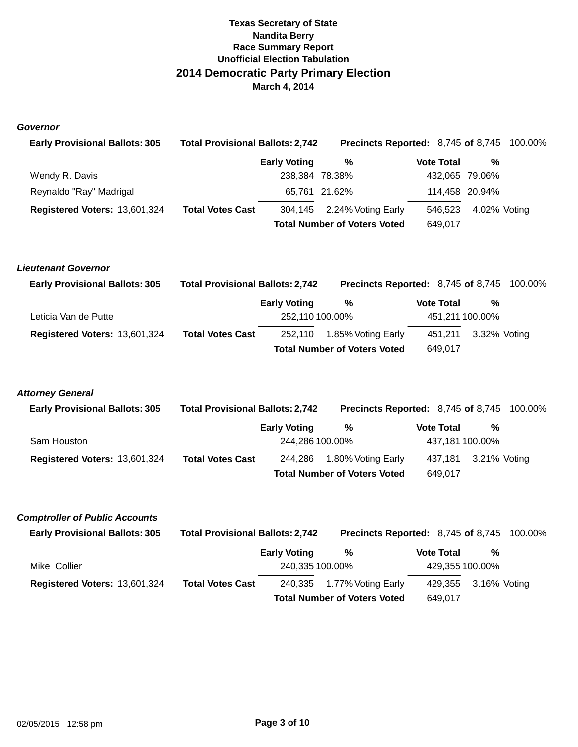### **Governor**

| <b>Early Provisional Ballots: 305</b> | <b>Total Provisional Ballots: 2,742</b> |                                     | <b>Precincts Reported: 8,745 of 8,745 100.00%</b> |  |                   |                |  |
|---------------------------------------|-----------------------------------------|-------------------------------------|---------------------------------------------------|--|-------------------|----------------|--|
|                                       |                                         | <b>Early Voting</b>                 | %                                                 |  | <b>Vote Total</b> | %              |  |
| Wendy R. Davis                        |                                         | 238,384 78.38%                      |                                                   |  |                   | 432,065 79.06% |  |
| Reynaldo "Ray" Madrigal               |                                         |                                     | 65,761 21.62%                                     |  |                   | 114,458 20.94% |  |
| Registered Voters: 13,601,324         | <b>Total Votes Cast</b>                 |                                     | 304,145 2.24% Voting Early                        |  | 546.523           | 4.02% Voting   |  |
|                                       |                                         | <b>Total Number of Voters Voted</b> |                                                   |  | 649,017           |                |  |

### **Lieutenant Governor**

| <b>Early Provisional Ballots: 305</b> | <b>Total Provisional Ballots: 2,742</b> |                     | <b>Precincts Reported: 8,745 of 8,745 100.00%</b> |                   |                 |  |
|---------------------------------------|-----------------------------------------|---------------------|---------------------------------------------------|-------------------|-----------------|--|
|                                       |                                         | <b>Early Voting</b> | %                                                 | <b>Vote Total</b> | %               |  |
| Leticia Van de Putte                  |                                         | 252,110 100.00%     |                                                   |                   | 451,211 100.00% |  |
| Registered Voters: 13,601,324         | <b>Total Votes Cast</b>                 | 252,110             | 1.85% Voting Early                                | 451.211           | 3.32% Voting    |  |
|                                       |                                         |                     | <b>Total Number of Voters Voted</b>               | 649.017           |                 |  |

### **Attorney General**

| <b>Early Provisional Ballots: 305</b> | <b>Total Provisional Ballots: 2,742</b> |                     | <b>Precincts Reported: 8,745 of 8,745 100.00%</b> |                   |         |                 |  |
|---------------------------------------|-----------------------------------------|---------------------|---------------------------------------------------|-------------------|---------|-----------------|--|
|                                       |                                         | <b>Early Voting</b> | %                                                 | <b>Vote Total</b> |         | %               |  |
| Sam Houston                           |                                         | 244,286 100.00%     |                                                   |                   |         | 437,181 100.00% |  |
| Registered Voters: 13,601,324         | <b>Total Votes Cast</b>                 | 244,286             | 1.80% Voting Early                                |                   | 437.181 | 3.21% Voting    |  |
|                                       |                                         |                     | <b>Total Number of Voters Voted</b>               |                   | 649.017 |                 |  |

### **Comptroller of Public Accounts**

| <b>Early Provisional Ballots: 305</b> | <b>Total Provisional Ballots: 2,742</b> |                     | <b>Precincts Reported: 8,745 of 8,745 100.00%</b> |                   |                      |  |
|---------------------------------------|-----------------------------------------|---------------------|---------------------------------------------------|-------------------|----------------------|--|
|                                       |                                         | <b>Early Voting</b> | %                                                 | <b>Vote Total</b> | %                    |  |
| Mike Collier                          |                                         | 240,335 100.00%     |                                                   |                   | 429,355 100.00%      |  |
| Registered Voters: 13,601,324         | <b>Total Votes Cast</b>                 |                     | 240,335 1.77% Voting Early                        |                   | 429,355 3.16% Voting |  |
|                                       |                                         |                     | <b>Total Number of Voters Voted</b>               | 649.017           |                      |  |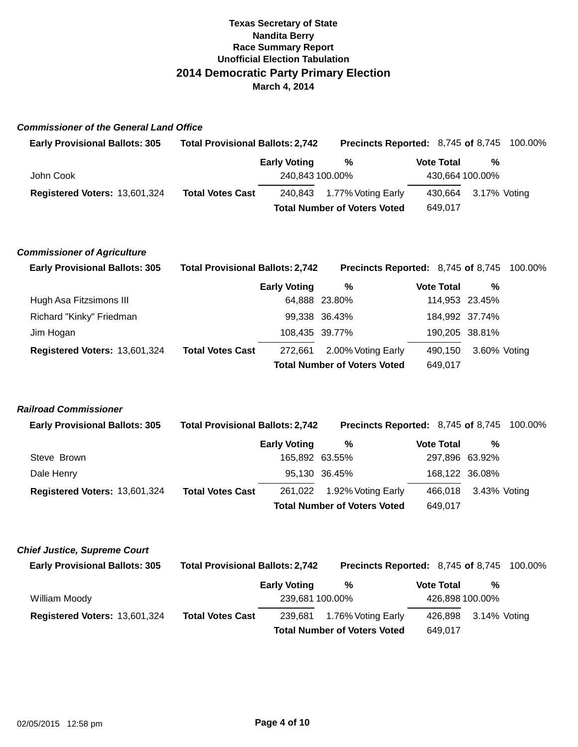## **Commissioner of the General Land Office**

| <b>Early Provisional Ballots: 305</b> | <b>Total Provisional Ballots: 2,742</b> |                     | <b>Precincts Reported: 8,745 of 8,745 100.00%</b> |                   |         |                      |  |
|---------------------------------------|-----------------------------------------|---------------------|---------------------------------------------------|-------------------|---------|----------------------|--|
|                                       |                                         | <b>Early Voting</b> | %                                                 | <b>Vote Total</b> |         | %                    |  |
| John Cook                             |                                         | 240,843 100.00%     |                                                   |                   |         | 430,664 100.00%      |  |
| Registered Voters: 13,601,324         | <b>Total Votes Cast</b>                 |                     | 240,843 1.77% Voting Early                        |                   |         | 430,664 3.17% Voting |  |
|                                       |                                         |                     | <b>Total Number of Voters Voted</b>               |                   | 649.017 |                      |  |

#### **Commissioner of Agriculture**

| <b>Early Provisional Ballots: 305</b> | <b>Total Provisional Ballots: 2,742</b> |                                     | <b>Precincts Reported: 8,745 of 8,745 100.00%</b> |                   |                |  |
|---------------------------------------|-----------------------------------------|-------------------------------------|---------------------------------------------------|-------------------|----------------|--|
|                                       |                                         | <b>Early Voting</b>                 | %                                                 | <b>Vote Total</b> | %              |  |
| Hugh Asa Fitzsimons III               |                                         |                                     | 64,888 23.80%                                     |                   | 114,953 23.45% |  |
| Richard "Kinky" Friedman              |                                         |                                     | 99,338 36.43%                                     |                   | 184,992 37.74% |  |
| Jim Hogan                             |                                         | 108,435 39.77%                      |                                                   |                   | 190,205 38.81% |  |
| Registered Voters: 13,601,324         | <b>Total Votes Cast</b>                 | 272.661                             | 2.00% Voting Early                                | 490,150           | 3.60% Voting   |  |
|                                       |                                         | <b>Total Number of Voters Voted</b> | 649,017                                           |                   |                |  |

### **Railroad Commissioner**

| <b>Early Provisional Ballots: 305</b> |                         | <b>Total Provisional Ballots: 2,742</b> |                    |                   | <b>Precincts Reported: 8,745 of 8,745 100.00%</b> |              |  |
|---------------------------------------|-------------------------|-----------------------------------------|--------------------|-------------------|---------------------------------------------------|--------------|--|
|                                       |                         | <b>Early Voting</b>                     | %                  | <b>Vote Total</b> |                                                   | %            |  |
| Steve Brown                           |                         |                                         | 165,892 63.55%     |                   | 297,896 63.92%                                    |              |  |
| Dale Henry                            |                         |                                         | 95,130 36.45%      |                   | 168,122 36.08%                                    |              |  |
| Registered Voters: 13,601,324         | <b>Total Votes Cast</b> | 261.022                                 | 1.92% Voting Early | 466.018           |                                                   | 3.43% Voting |  |
|                                       |                         | <b>Total Number of Voters Voted</b>     | 649,017            |                   |                                                   |              |  |

| <b>Chief Justice, Supreme Court</b>   |                                         |                     |                                                   |                   |                 |  |
|---------------------------------------|-----------------------------------------|---------------------|---------------------------------------------------|-------------------|-----------------|--|
| <b>Early Provisional Ballots: 305</b> | <b>Total Provisional Ballots: 2,742</b> |                     | <b>Precincts Reported: 8,745 of 8,745 100.00%</b> |                   |                 |  |
|                                       |                                         | <b>Early Voting</b> | %                                                 | <b>Vote Total</b> | %               |  |
| William Moody                         |                                         | 239,681 100.00%     |                                                   |                   | 426,898 100.00% |  |
| Registered Voters: 13,601,324         | <b>Total Votes Cast</b>                 | 239.681             | 1.76% Voting Early                                | 426.898           | 3.14% Voting    |  |
|                                       |                                         |                     | <b>Total Number of Voters Voted</b>               | 649,017           |                 |  |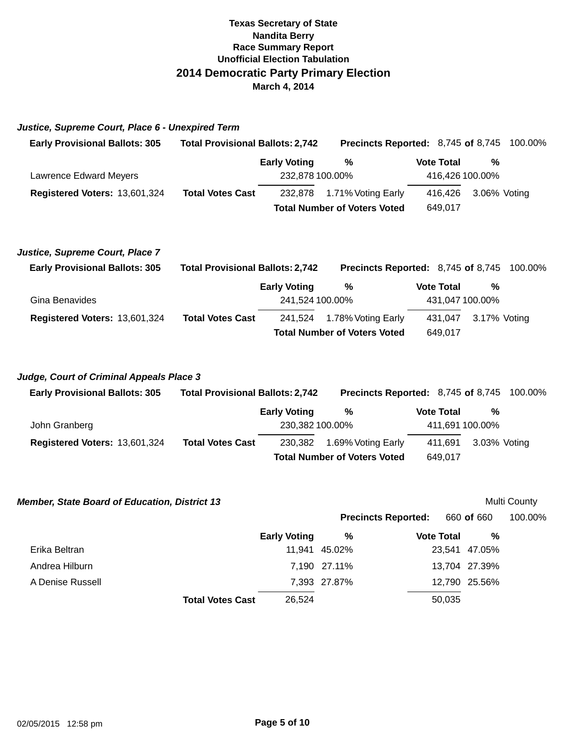| Justice, Supreme Court, Place 6 - Unexpired Term |  |  |  |  |  |  |  |  |
|--------------------------------------------------|--|--|--|--|--|--|--|--|
|--------------------------------------------------|--|--|--|--|--|--|--|--|

| <b>Early Provisional Ballots: 305</b> | <b>Total Provisional Ballots: 2,742</b> |                     | <b>Precincts Reported: 8,745 of 8,745 100.00%</b> |                   |                      |  |
|---------------------------------------|-----------------------------------------|---------------------|---------------------------------------------------|-------------------|----------------------|--|
|                                       |                                         | <b>Early Voting</b> | %                                                 | <b>Vote Total</b> | %                    |  |
| Lawrence Edward Meyers                |                                         | 232,878 100.00%     |                                                   |                   | 416,426 100.00%      |  |
| Registered Voters: 13,601,324         | <b>Total Votes Cast</b>                 |                     | 232,878 1.71% Voting Early                        |                   | 416,426 3.06% Voting |  |
|                                       |                                         |                     | <b>Total Number of Voters Voted</b>               | 649.017           |                      |  |

### **Justice, Supreme Court, Place 7**

| <b>Early Provisional Ballots: 305</b> | <b>Total Provisional Ballots: 2,742</b> |                     | <b>Precincts Reported: 8,745 of 8,745 100.00%</b> |                   |                      |  |
|---------------------------------------|-----------------------------------------|---------------------|---------------------------------------------------|-------------------|----------------------|--|
|                                       |                                         | <b>Early Voting</b> | %                                                 | <b>Vote Total</b> | %                    |  |
| Gina Benavides                        |                                         | 241,524 100.00%     |                                                   |                   | 431,047 100.00%      |  |
| Registered Voters: 13,601,324         | <b>Total Votes Cast</b>                 |                     | 241,524 1.78% Voting Early                        |                   | 431,047 3.17% Voting |  |
|                                       |                                         |                     | <b>Total Number of Voters Voted</b>               | 649,017           |                      |  |

### **Judge, Court of Criminal Appeals Place 3**

| <b>Early Provisional Ballots: 305</b> |                         | <b>Total Provisional Ballots: 2,742</b><br><b>Precincts Reported: 8,745 of 8,745 100.00%</b> |                                     |  |                   |                 |  |
|---------------------------------------|-------------------------|----------------------------------------------------------------------------------------------|-------------------------------------|--|-------------------|-----------------|--|
|                                       |                         | <b>Early Voting</b>                                                                          | %                                   |  | <b>Vote Total</b> | %               |  |
| John Granberg                         |                         | 230,382 100.00%                                                                              |                                     |  |                   | 411,691 100.00% |  |
| Registered Voters: 13,601,324         | <b>Total Votes Cast</b> | 230,382                                                                                      | 1.69% Voting Early                  |  | 411.691           | 3.03% Voting    |  |
|                                       |                         |                                                                                              | <b>Total Number of Voters Voted</b> |  | 649.017           |                 |  |

| <b>Member, State Board of Education, District 13</b> |                     |               |                            |               | Multi County |
|------------------------------------------------------|---------------------|---------------|----------------------------|---------------|--------------|
|                                                      |                     |               | <b>Precincts Reported:</b> | 660 of 660    | 100.00%      |
|                                                      | <b>Early Voting</b> | %             | <b>Vote Total</b>          | %             |              |
| Erika Beltran                                        |                     | 11,941 45.02% |                            | 23.541 47.05% |              |
| Andrea Hilburn                                       |                     | 7.190 27.11%  |                            | 13,704 27.39% |              |
| A Denise Russell                                     |                     | 7,393 27.87%  |                            | 12,790 25.56% |              |
| <b>Total Votes Cast</b>                              | 26,524              |               | 50,035                     |               |              |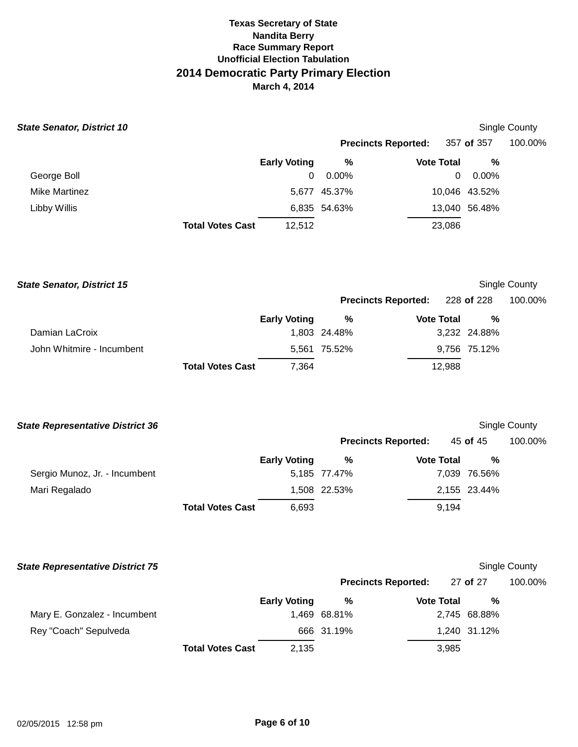| <b>State Senator, District 10</b>       |                         |                       |                            |                                                     |               | Single County |
|-----------------------------------------|-------------------------|-----------------------|----------------------------|-----------------------------------------------------|---------------|---------------|
|                                         |                         |                       | <b>Precincts Reported:</b> |                                                     | 357 of 357    | 100.00%       |
|                                         |                         | <b>Early Voting</b>   | $\%$                       | <b>Vote Total</b>                                   | $\%$          |               |
| George Boll                             |                         | 0                     | 0.00%                      |                                                     | 0<br>0.00%    |               |
| <b>Mike Martinez</b>                    |                         |                       | 5,677 45.37%               |                                                     | 10,046 43.52% |               |
| <b>Libby Willis</b>                     |                         |                       | 6,835 54.63%               |                                                     | 13,040 56.48% |               |
|                                         | <b>Total Votes Cast</b> | 12,512                |                            | 23,086                                              |               |               |
| <b>State Senator, District 15</b>       |                         |                       |                            |                                                     |               | Single County |
|                                         |                         |                       | <b>Precincts Reported:</b> |                                                     | 228 of 228    | 100.00%       |
|                                         |                         | <b>Early Voting</b>   | $\%$                       | <b>Vote Total</b>                                   | $\%$          |               |
| Damian LaCroix                          |                         |                       | 1,803 24.48%               |                                                     | 3,232 24.88%  |               |
| John Whitmire - Incumbent               |                         |                       | 5,561 75.52%               |                                                     | 9,756 75.12%  |               |
|                                         | <b>Total Votes Cast</b> | 7,364                 |                            | 12,988                                              |               |               |
| <b>State Representative District 36</b> |                         |                       |                            |                                                     |               | Single County |
|                                         |                         |                       | <b>Precincts Reported:</b> |                                                     | 45 of 45      | 100.00%       |
|                                         |                         | <b>Early Voting</b>   | $\%$                       | <b>Vote Total</b>                                   | $\%$          |               |
| Sergio Munoz, Jr. - Incumbent           |                         |                       | 5,185 77.47%               |                                                     | 7,039 76.56%  |               |
| Mari Regalado                           |                         |                       | 1,508 22.53%               |                                                     | 2,155 23.44%  |               |
|                                         | <b>Total Votes Cast</b> | 6,693                 |                            | 9,194                                               |               |               |
| <b>State Representative District 75</b> |                         |                       |                            |                                                     |               | Single County |
|                                         |                         |                       | <b>Precincts Reported:</b> |                                                     | 27 of 27      | 100.00%       |
|                                         |                         | $\Gamma$ and a Matter |                            | $\mathbf{M}$ $\mathbf{M}$ $\mathbf{M}$ $\mathbf{M}$ | $\sim$ 0.4    |               |

|                              |                         | <b>Early Voting</b> | %            | <b>Vote Total</b> | %            |
|------------------------------|-------------------------|---------------------|--------------|-------------------|--------------|
| Mary E. Gonzalez - Incumbent |                         |                     | 1.469 68.81% |                   | 2,745 68.88% |
| Rey "Coach" Sepulveda        |                         |                     | 666 31.19%   |                   | 1,240 31.12% |
|                              | <b>Total Votes Cast</b> | 2.135               |              | 3,985             |              |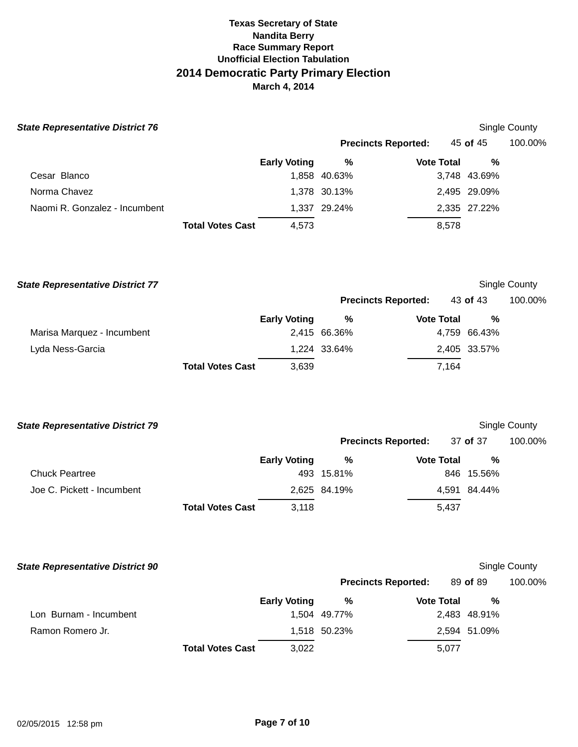| <b>State Representative District 76</b> |                         |                     |              |                            |              | Single County |
|-----------------------------------------|-------------------------|---------------------|--------------|----------------------------|--------------|---------------|
|                                         |                         |                     |              | <b>Precincts Reported:</b> | 45 of 45     | 100.00%       |
|                                         |                         | <b>Early Voting</b> | %            | <b>Vote Total</b>          | $\%$         |               |
| Cesar Blanco                            |                         |                     | 1,858 40.63% |                            | 3,748 43.69% |               |
| Norma Chavez                            |                         |                     | 1,378 30.13% |                            | 2,495 29.09% |               |
| Naomi R. Gonzalez - Incumbent           |                         |                     | 1,337 29.24% |                            | 2,335 27.22% |               |
|                                         | <b>Total Votes Cast</b> | 4,573               |              | 8,578                      |              |               |
| <b>State Representative District 77</b> |                         |                     |              |                            |              | Single County |
|                                         |                         |                     |              | <b>Precincts Reported:</b> | 43 of 43     | 100.00%       |
|                                         |                         | <b>Early Voting</b> | %            | <b>Vote Total</b>          | %            |               |
| Marisa Marquez - Incumbent              |                         |                     | 2,415 66.36% |                            | 4,759 66.43% |               |
| Lyda Ness-Garcia                        |                         |                     | 1,224 33.64% |                            | 2,405 33.57% |               |

| <b>State Representative District 79</b> |                         |                     |              |                            |              | Single County |
|-----------------------------------------|-------------------------|---------------------|--------------|----------------------------|--------------|---------------|
|                                         |                         |                     |              | <b>Precincts Reported:</b> | 37 of 37     | 100.00%       |
|                                         |                         | <b>Early Voting</b> | %            | <b>Vote Total</b>          | %            |               |
| <b>Chuck Peartree</b>                   |                         |                     | 493 15.81%   |                            | 846 15.56%   |               |
| Joe C. Pickett - Incumbent              |                         |                     | 2,625 84.19% |                            | 4,591 84.44% |               |
|                                         | <b>Total Votes Cast</b> | 3.118               |              | 5,437                      |              |               |

3,639

7,164

**Total Votes Cast** 

| <b>State Representative District 90</b> |                         |                     |                            |   |                   |          |              | Single County |
|-----------------------------------------|-------------------------|---------------------|----------------------------|---|-------------------|----------|--------------|---------------|
|                                         |                         |                     | <b>Precincts Reported:</b> |   |                   | 89 of 89 |              | 100.00%       |
|                                         |                         | <b>Early Voting</b> |                            | % | <b>Vote Total</b> |          | %            |               |
| Lon Burnam - Incumbent                  |                         |                     | 1.504 49.77%               |   |                   |          | 2,483 48.91% |               |
| Ramon Romero Jr.                        |                         |                     | 1,518 50.23%               |   |                   |          | 2,594 51.09% |               |
|                                         | <b>Total Votes Cast</b> | 3,022               |                            |   | 5,077             |          |              |               |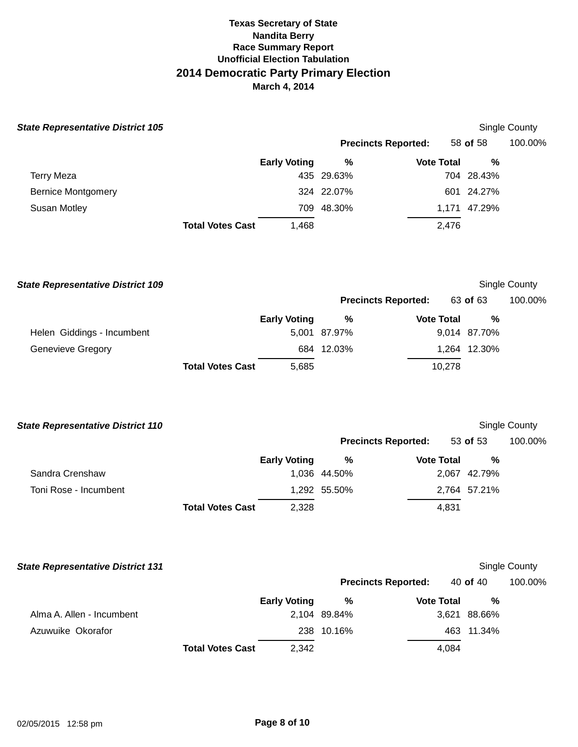| <b>State Representative District 105</b> |                         |                     |                            |                   | <b>Single County</b> |                      |  |
|------------------------------------------|-------------------------|---------------------|----------------------------|-------------------|----------------------|----------------------|--|
|                                          |                         |                     | <b>Precincts Reported:</b> |                   | 58 of 58             | 100.00%              |  |
|                                          |                         | <b>Early Voting</b> | %                          | <b>Vote Total</b> | $\frac{0}{0}$        |                      |  |
| <b>Terry Meza</b>                        |                         |                     | 435 29.63%                 |                   | 704 28.43%           |                      |  |
| <b>Bernice Montgomery</b>                |                         |                     | 324 22.07%                 |                   | 601 24.27%           |                      |  |
| Susan Motley                             |                         |                     | 709 48.30%                 |                   | 1,171 47.29%         |                      |  |
|                                          | <b>Total Votes Cast</b> | 1,468               |                            | 2,476             |                      |                      |  |
| <b>State Representative District 109</b> |                         |                     |                            |                   |                      | Single County        |  |
|                                          |                         |                     | <b>Precincts Reported:</b> |                   | 63 of 63             | 100.00%              |  |
|                                          |                         | <b>Early Voting</b> | %                          | <b>Vote Total</b> | %                    |                      |  |
| Helen Giddings - Incumbent               |                         |                     | 5,001 87.97%               |                   | 9,014 87.70%         |                      |  |
| Genevieve Gregory                        |                         |                     | 684 12.03%                 |                   | 1,264 12.30%         |                      |  |
|                                          | <b>Total Votes Cast</b> | 5,685               |                            | 10,278            |                      |                      |  |
| <b>State Representative District 110</b> |                         |                     |                            |                   |                      | Single County        |  |
|                                          |                         |                     | <b>Precincts Reported:</b> |                   | 53 of 53             | 100.00%              |  |
|                                          |                         | <b>Early Voting</b> | %                          | <b>Vote Total</b> | %                    |                      |  |
| Sandra Crenshaw                          |                         |                     | 1,036 44.50%               |                   | 2,067 42.79%         |                      |  |
| Toni Rose - Incumbent                    |                         |                     | 1,292 55.50%               |                   | 2,764 57.21%         |                      |  |
|                                          | <b>Total Votes Cast</b> | 2,328               |                            | 4,831             |                      |                      |  |
| <b>State Representative District 131</b> |                         |                     |                            |                   |                      | <b>Single County</b> |  |
|                                          |                         |                     | <b>Precincts Reported:</b> |                   | 40 of 40             | 100.00%              |  |
|                                          |                         | <b>Early Voting</b> | %                          | <b>Vote Total</b> | %                    |                      |  |
| Alma A. Allen - Incumbent                |                         |                     | 2,104 89.84%               |                   | 3,621 88.66%         |                      |  |
| Azuwuike Okorafor                        |                         |                     | 238 10.16%                 |                   | 463 11.34%           |                      |  |
|                                          | <b>Total Votes Cast</b> | 2,342               |                            | 4,084             |                      |                      |  |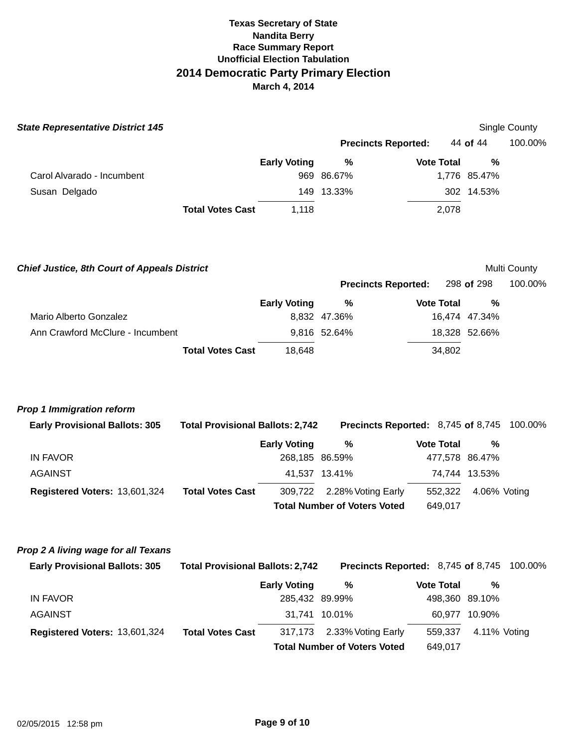| <b>State Representative District 145</b>                                     |                                         |                     |                                                           |                    |                                 | Single County |
|------------------------------------------------------------------------------|-----------------------------------------|---------------------|-----------------------------------------------------------|--------------------|---------------------------------|---------------|
|                                                                              |                                         |                     | <b>Precincts Reported:</b>                                |                    | 44 of 44                        | 100.00%       |
|                                                                              |                                         | <b>Early Voting</b> | %                                                         | <b>Vote Total</b>  | %                               |               |
| Carol Alvarado - Incumbent                                                   |                                         |                     | 969 86.67%                                                |                    | 1,776 85.47%                    |               |
| Susan Delgado                                                                |                                         |                     | 149 13.33%                                                |                    | 302 14.53%                      |               |
|                                                                              | <b>Total Votes Cast</b>                 | 1,118               |                                                           | 2,078              |                                 |               |
| <b>Chief Justice, 8th Court of Appeals District</b>                          |                                         |                     |                                                           |                    |                                 | Multi County  |
|                                                                              |                                         |                     | <b>Precincts Reported:</b>                                |                    | 298 of 298                      | 100.00%       |
|                                                                              |                                         | <b>Early Voting</b> | %                                                         | <b>Vote Total</b>  | %                               |               |
| Mario Alberto Gonzalez                                                       |                                         |                     | 8,832 47.36%                                              |                    | 16,474 47.34%                   |               |
| Ann Crawford McClure - Incumbent                                             |                                         |                     | 9,816 52.64%                                              |                    | 18,328 52.66%                   |               |
|                                                                              | <b>Total Votes Cast</b>                 | 18,648              |                                                           | 34,802             |                                 |               |
| <b>Prop 1 Immigration reform</b><br><b>Early Provisional Ballots: 305</b>    | <b>Total Provisional Ballots: 2,742</b> |                     | Precincts Reported: 8,745 of 8,745                        |                    |                                 | 100.00%       |
|                                                                              |                                         | <b>Early Voting</b> | %                                                         | <b>Vote Total</b>  | $\%$                            |               |
| <b>IN FAVOR</b><br><b>AGAINST</b>                                            |                                         | 268,185 86.59%      | 41,537 13.41%                                             |                    | 477,578 86.47%<br>74,744 13.53% |               |
|                                                                              | <b>Total Votes Cast</b>                 |                     |                                                           |                    |                                 |               |
| Registered Voters: 13,601,324                                                |                                         | 309,722             | 2.28% Voting Early<br><b>Total Number of Voters Voted</b> | 552,322<br>649,017 | 4.06% Voting                    |               |
| Prop 2 A living wage for all Texans<br><b>Early Provisional Ballots: 305</b> | <b>Total Provisional Ballots: 2,742</b> |                     | Precincts Reported: 8,745 of 8,745                        |                    |                                 | 100.00%       |
|                                                                              |                                         | <b>Early Voting</b> | %                                                         | <b>Vote Total</b>  | %                               |               |
| <b>IN FAVOR</b>                                                              |                                         | 285,432 89.99%      |                                                           |                    | 498,360 89.10%                  |               |
| <b>AGAINST</b>                                                               |                                         |                     | 31,741 10.01%                                             |                    | 60,977 10.90%                   |               |
| Registered Voters: 13,601,324                                                | <b>Total Votes Cast</b>                 | 317,173             | 2.33% Voting Early                                        | 559,337            | 4.11% Voting                    |               |
|                                                                              |                                         |                     | <b>Total Number of Voters Voted</b>                       | 649,017            |                                 |               |